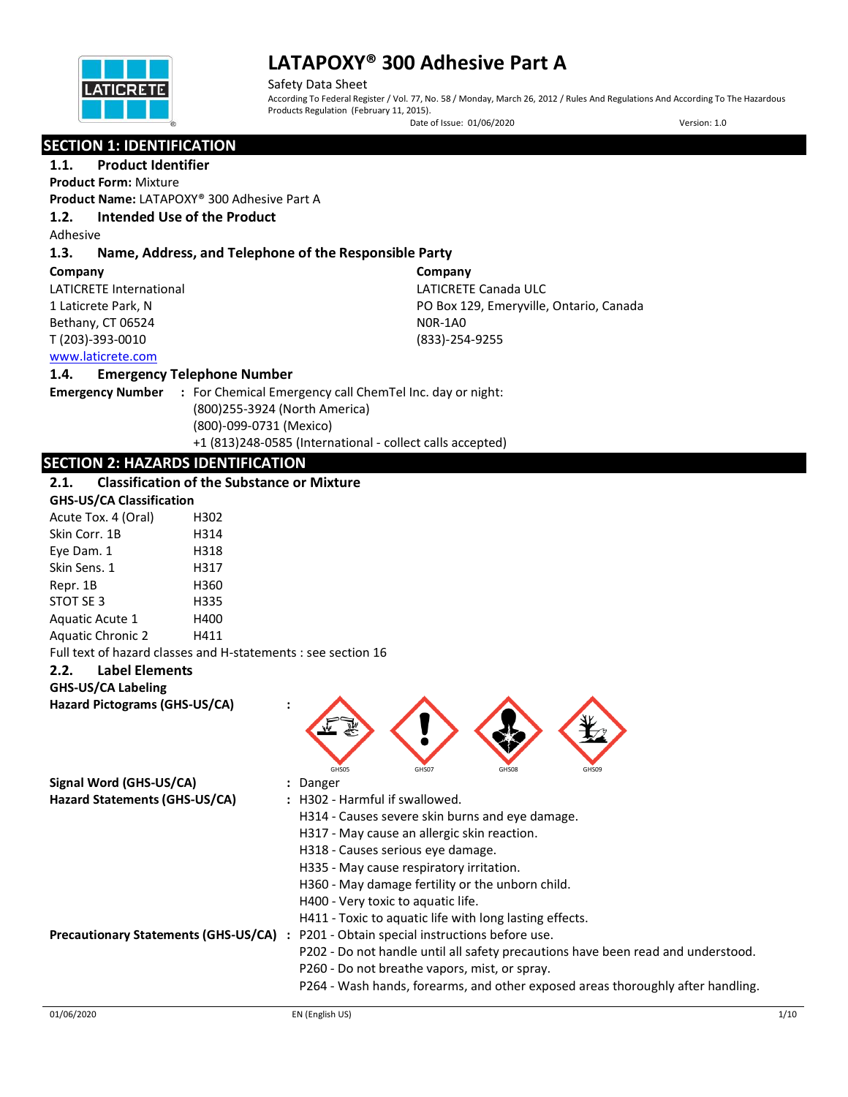

Safety Data Sheet According To Federal Register / Vol. 77, No. 58 / Monday, March 26, 2012 / Rules And Regulations And According To The Hazardous Products Regulation (February 11, 2015). Date of Issue: 01/06/2020 Version: 1.0

# **SECTION 1: IDENTIFICATION**

## **1.1. Product Identifier**

**Product Form:** Mixture

**Product Name:** LATAPOXY® 300 Adhesive Part A

## **1.2. Intended Use of the Product**

Adhesive

## **1.3. Name, Address, and Telephone of the Responsible Party**

#### **Company**

LATICRETE International 1 Laticrete Park, N Bethany, CT 06524 T (203)-393-0010

**Company** LATICRETE Canada ULC PO Box 129, Emeryville, Ontario, Canada N0R-1A0 (833)-254-9255

## [www.laticrete.com](http://www.laticrete.com/)

## **1.4. Emergency Telephone Number**

**Emergency Number :** For Chemical Emergency call ChemTel Inc. day or night: (800)255-3924 (North America) (800)-099-0731 (Mexico) +1 (813)248-0585 (International - collect calls accepted)

## **SECTION 2: HAZARDS IDENTIFICATION**

## **2.1. Classification of the Substance or Mixture**

|                          | <b>GHS-US/CA Classification</b> |  |  |  |
|--------------------------|---------------------------------|--|--|--|
| Acute Tox. 4 (Oral)      | H302                            |  |  |  |
| Skin Corr. 1B            | H314                            |  |  |  |
| Eye Dam. 1               | H318                            |  |  |  |
| Skin Sens. 1             | H317                            |  |  |  |
| Repr. 1B                 | H360                            |  |  |  |
| STOT SE 3                | H335                            |  |  |  |
| Aquatic Acute 1          | H400                            |  |  |  |
| <b>Aquatic Chronic 2</b> | H411                            |  |  |  |
|                          |                                 |  |  |  |

Full text of hazard classes and H-statements : see section 16

## **2.2. Label Elements**

## **GHS-US/CA Labeling**

**Hazard Pictograms (GHS-US/CA) :**



| Signal Word (GHS-US/CA)                     | : Danger                                                                         |
|---------------------------------------------|----------------------------------------------------------------------------------|
| Hazard Statements (GHS-US/CA)               | : H302 - Harmful if swallowed.                                                   |
|                                             | H314 - Causes severe skin burns and eye damage.                                  |
|                                             | H317 - May cause an allergic skin reaction.                                      |
|                                             | H318 - Causes serious eye damage.                                                |
|                                             | H335 - May cause respiratory irritation.                                         |
|                                             | H360 - May damage fertility or the unborn child.                                 |
|                                             | H400 - Very toxic to aquatic life.                                               |
|                                             | H411 - Toxic to aquatic life with long lasting effects.                          |
| <b>Precautionary Statements (GHS-US/CA)</b> | P201 - Obtain special instructions before use.<br>$\ddot{\phantom{a}}$           |
|                                             | P202 - Do not handle until all safety precautions have been read and understood. |
|                                             | P260 - Do not breathe vapors, mist, or spray.                                    |
|                                             | P264 - Wash hands, forearms, and other exposed areas thoroughly after handling.  |
|                                             |                                                                                  |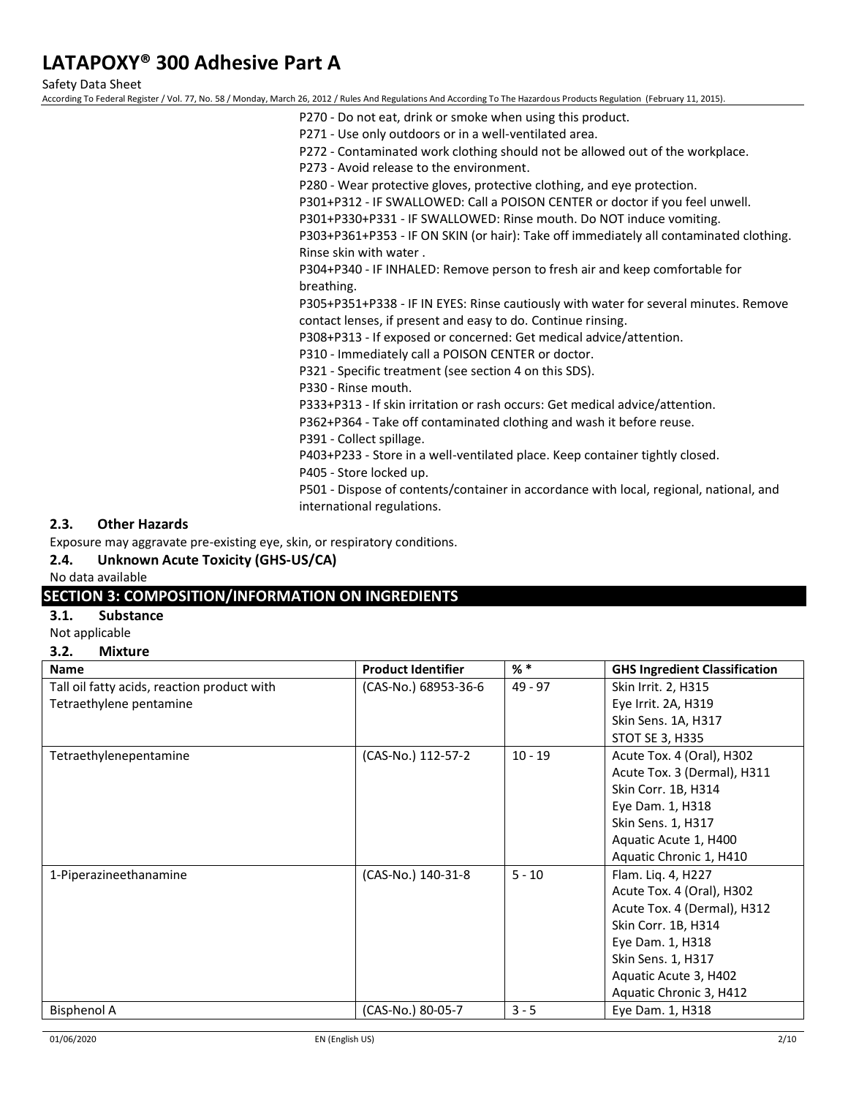Safety Data Sheet

According To Federal Register / Vol. 77, No. 58 / Monday, March 26, 2012 / Rules And Regulations And According To The Hazardous Products Regulation (February 11, 2015).

- P270 Do not eat, drink or smoke when using this product.
- P271 Use only outdoors or in a well-ventilated area.

P272 - Contaminated work clothing should not be allowed out of the workplace.

P273 - Avoid release to the environment.

P280 - Wear protective gloves, protective clothing, and eye protection.

P301+P312 - IF SWALLOWED: Call a POISON CENTER or doctor if you feel unwell.

P301+P330+P331 - IF SWALLOWED: Rinse mouth. Do NOT induce vomiting.

P303+P361+P353 - IF ON SKIN (or hair): Take off immediately all contaminated clothing. Rinse skin with water .

P304+P340 - IF INHALED: Remove person to fresh air and keep comfortable for breathing.

P305+P351+P338 - IF IN EYES: Rinse cautiously with water for several minutes. Remove contact lenses, if present and easy to do. Continue rinsing.

P308+P313 - If exposed or concerned: Get medical advice/attention.

P310 - Immediately call a POISON CENTER or doctor.

P321 - Specific treatment (see section 4 on this SDS).

P330 - Rinse mouth.

P333+P313 - If skin irritation or rash occurs: Get medical advice/attention.

P362+P364 - Take off contaminated clothing and wash it before reuse.

P391 - Collect spillage.

P403+P233 - Store in a well-ventilated place. Keep container tightly closed.

P405 - Store locked up.

P501 - Dispose of contents/container in accordance with local, regional, national, and international regulations.

## **2.3. Other Hazards**

Exposure may aggravate pre-existing eye, skin, or respiratory conditions.

## **2.4. Unknown Acute Toxicity (GHS-US/CA)**

No data available

## **SECTION 3: COMPOSITION/INFORMATION ON INGREDIENTS**

**3.1. Substance**

Not applicable

**3.2. Mixture**

| <b>Name</b>                                 | <b>Product Identifier</b> | $%$ $*$   | <b>GHS Ingredient Classification</b> |
|---------------------------------------------|---------------------------|-----------|--------------------------------------|
| Tall oil fatty acids, reaction product with | (CAS-No.) 68953-36-6      | $49 - 97$ | Skin Irrit. 2, H315                  |
| Tetraethylene pentamine                     |                           |           | Eye Irrit. 2A, H319                  |
|                                             |                           |           | Skin Sens. 1A, H317                  |
|                                             |                           |           | STOT SE 3, H335                      |
| Tetraethylenepentamine                      | (CAS-No.) 112-57-2        | $10 - 19$ | Acute Tox. 4 (Oral), H302            |
|                                             |                           |           | Acute Tox. 3 (Dermal), H311          |
|                                             |                           |           | Skin Corr. 1B, H314                  |
|                                             |                           |           | Eye Dam. 1, H318                     |
|                                             |                           |           | Skin Sens. 1, H317                   |
|                                             |                           |           | Aquatic Acute 1, H400                |
|                                             |                           |           | Aquatic Chronic 1, H410              |
| 1-Piperazineethanamine                      | (CAS-No.) 140-31-8        | $5 - 10$  | Flam. Liq. 4, H227                   |
|                                             |                           |           | Acute Tox. 4 (Oral), H302            |
|                                             |                           |           | Acute Tox. 4 (Dermal), H312          |
|                                             |                           |           | Skin Corr. 1B, H314                  |
|                                             |                           |           | Eye Dam. 1, H318                     |
|                                             |                           |           | Skin Sens. 1, H317                   |
|                                             |                           |           | Aquatic Acute 3, H402                |
|                                             |                           |           | Aquatic Chronic 3, H412              |
| <b>Bisphenol A</b>                          | (CAS-No.) 80-05-7         | $3 - 5$   | Eye Dam. 1, H318                     |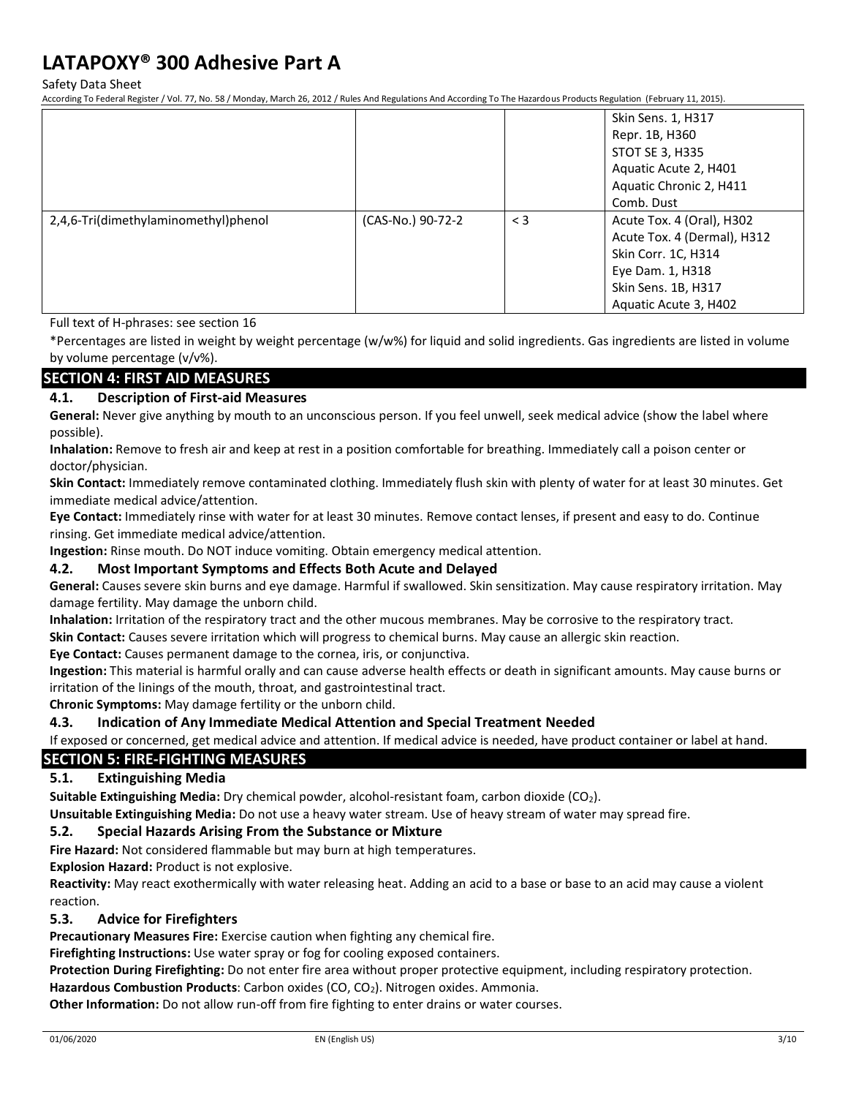Safety Data Sheet

According To Federal Register / Vol. 77, No. 58 / Monday, March 26, 2012 / Rules And Regulations And According To The Hazardous Products Regulation (February 11, 2015).

|                                      |                   |          | Skin Sens. 1, H317<br>Repr. 1B, H360<br>STOT SE 3, H335<br>Aquatic Acute 2, H401                                                                    |
|--------------------------------------|-------------------|----------|-----------------------------------------------------------------------------------------------------------------------------------------------------|
|                                      |                   |          | Aquatic Chronic 2, H411<br>Comb. Dust                                                                                                               |
| 2,4,6-Tri(dimethylaminomethyl)phenol | (CAS-No.) 90-72-2 | $\leq$ 3 | Acute Tox. 4 (Oral), H302<br>Acute Tox. 4 (Dermal), H312<br>Skin Corr. 1C, H314<br>Eye Dam. 1, H318<br>Skin Sens. 1B, H317<br>Aquatic Acute 3, H402 |

Full text of H-phrases: see section 16

\*Percentages are listed in weight by weight percentage (w/w%) for liquid and solid ingredients. Gas ingredients are listed in volume by volume percentage (v/v%).

## **SECTION 4: FIRST AID MEASURES**

## **4.1. Description of First-aid Measures**

**General:** Never give anything by mouth to an unconscious person. If you feel unwell, seek medical advice (show the label where possible).

**Inhalation:** Remove to fresh air and keep at rest in a position comfortable for breathing. Immediately call a poison center or doctor/physician.

**Skin Contact:** Immediately remove contaminated clothing. Immediately flush skin with plenty of water for at least 30 minutes. Get immediate medical advice/attention.

**Eye Contact:** Immediately rinse with water for at least 30 minutes. Remove contact lenses, if present and easy to do. Continue rinsing. Get immediate medical advice/attention.

**Ingestion:** Rinse mouth. Do NOT induce vomiting. Obtain emergency medical attention.

## **4.2. Most Important Symptoms and Effects Both Acute and Delayed**

**General:** Causes severe skin burns and eye damage. Harmful if swallowed. Skin sensitization. May cause respiratory irritation. May damage fertility. May damage the unborn child.

**Inhalation:** Irritation of the respiratory tract and the other mucous membranes. May be corrosive to the respiratory tract.

**Skin Contact:** Causes severe irritation which will progress to chemical burns. May cause an allergic skin reaction.

**Eye Contact:** Causes permanent damage to the cornea, iris, or conjunctiva.

**Ingestion:** This material is harmful orally and can cause adverse health effects or death in significant amounts. May cause burns or irritation of the linings of the mouth, throat, and gastrointestinal tract.

**Chronic Symptoms:** May damage fertility or the unborn child.

#### **4.3. Indication of Any Immediate Medical Attention and Special Treatment Needed**

If exposed or concerned, get medical advice and attention. If medical advice is needed, have product container or label at hand.

## **SECTION 5: FIRE-FIGHTING MEASURES**

## **5.1. Extinguishing Media**

**Suitable Extinguishing Media:** Dry chemical powder, alcohol-resistant foam, carbon dioxide (CO2).

**Unsuitable Extinguishing Media:** Do not use a heavy water stream. Use of heavy stream of water may spread fire.

#### **5.2. Special Hazards Arising From the Substance or Mixture**

**Fire Hazard:** Not considered flammable but may burn at high temperatures.

**Explosion Hazard:** Product is not explosive.

**Reactivity:** May react exothermically with water releasing heat. Adding an acid to a base or base to an acid may cause a violent reaction.

## **5.3. Advice for Firefighters**

**Precautionary Measures Fire:** Exercise caution when fighting any chemical fire.

**Firefighting Instructions:** Use water spray or fog for cooling exposed containers.

**Protection During Firefighting:** Do not enter fire area without proper protective equipment, including respiratory protection.

**Hazardous Combustion Products**: Carbon oxides (CO, CO2). Nitrogen oxides. Ammonia.

**Other Information:** Do not allow run-off from fire fighting to enter drains or water courses.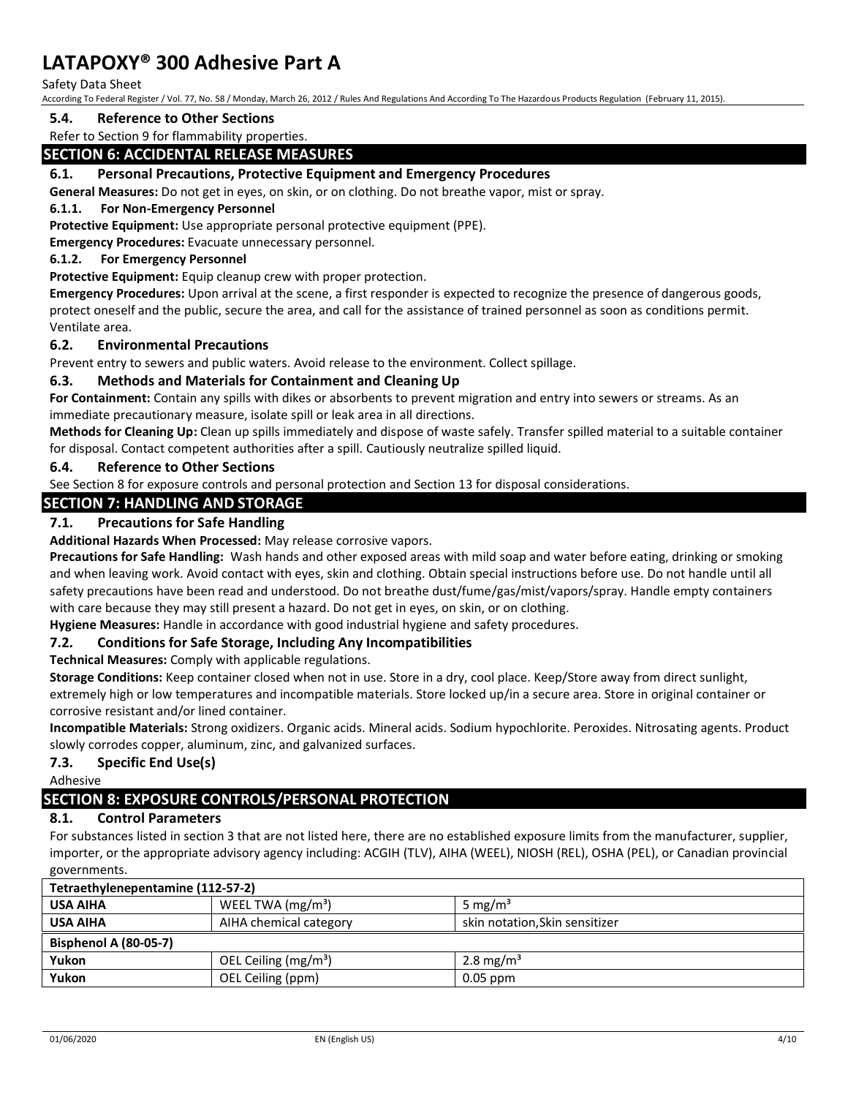#### Safety Data Sheet

According To Federal Register / Vol. 77, No. 58 / Monday, March 26, 2012 / Rules And Regulations And According To The Hazardous Products Regulation (February 11, 2015).

### **5.4. Reference to Other Sections**

## Refer to Section 9 for flammability properties.

## **SECTION 6: ACCIDENTAL RELEASE MEASURES**

## **6.1. Personal Precautions, Protective Equipment and Emergency Procedures**

**General Measures:** Do not get in eyes, on skin, or on clothing. Do not breathe vapor, mist or spray.

#### **6.1.1. For Non-Emergency Personnel**

**Protective Equipment:** Use appropriate personal protective equipment (PPE).

**Emergency Procedures:** Evacuate unnecessary personnel.

#### **6.1.2. For Emergency Personnel**

**Protective Equipment:** Equip cleanup crew with proper protection.

**Emergency Procedures:** Upon arrival at the scene, a first responder is expected to recognize the presence of dangerous goods, protect oneself and the public, secure the area, and call for the assistance of trained personnel as soon as conditions permit. Ventilate area.

## **6.2. Environmental Precautions**

Prevent entry to sewers and public waters. Avoid release to the environment. Collect spillage.

## **6.3. Methods and Materials for Containment and Cleaning Up**

**For Containment:** Contain any spills with dikes or absorbents to prevent migration and entry into sewers or streams. As an immediate precautionary measure, isolate spill or leak area in all directions.

**Methods for Cleaning Up:** Clean up spills immediately and dispose of waste safely. Transfer spilled material to a suitable container for disposal. Contact competent authorities after a spill. Cautiously neutralize spilled liquid.

## **6.4. Reference to Other Sections**

See Section 8 for exposure controls and personal protection and Section 13 for disposal considerations.

## **SECTION 7: HANDLING AND STORAGE**

## **7.1. Precautions for Safe Handling**

**Additional Hazards When Processed:** May release corrosive vapors.

**Precautions for Safe Handling:** Wash hands and other exposed areas with mild soap and water before eating, drinking or smoking and when leaving work. Avoid contact with eyes, skin and clothing. Obtain special instructions before use. Do not handle until all safety precautions have been read and understood. Do not breathe dust/fume/gas/mist/vapors/spray. Handle empty containers with care because they may still present a hazard. Do not get in eyes, on skin, or on clothing.

**Hygiene Measures:** Handle in accordance with good industrial hygiene and safety procedures.

## **7.2. Conditions for Safe Storage, Including Any Incompatibilities**

**Technical Measures:** Comply with applicable regulations.

**Storage Conditions:** Keep container closed when not in use. Store in a dry, cool place. Keep/Store away from direct sunlight, extremely high or low temperatures and incompatible materials. Store locked up/in a secure area. Store in original container or corrosive resistant and/or lined container.

**Incompatible Materials:** Strong oxidizers. Organic acids. Mineral acids. Sodium hypochlorite. Peroxides. Nitrosating agents. Product slowly corrodes copper, aluminum, zinc, and galvanized surfaces.

## **7.3. Specific End Use(s)**

Adhesive

## **SECTION 8: EXPOSURE CONTROLS/PERSONAL PROTECTION**

## **8.1. Control Parameters**

For substances listed in section 3 that are not listed here, there are no established exposure limits from the manufacturer, supplier, importer, or the appropriate advisory agency including: ACGIH (TLV), AIHA (WEEL), NIOSH (REL), OSHA (PEL), or Canadian provincial governments.

| Tetraethylenepentamine (112-57-2) |                        |                                |  |
|-----------------------------------|------------------------|--------------------------------|--|
| <b>USA AIHA</b>                   | WEEL TWA $(mg/m3)$     | 5 mg/m <sup>3</sup>            |  |
| <b>USA AIHA</b>                   | AIHA chemical category | skin notation, Skin sensitizer |  |
| <b>Bisphenol A (80-05-7)</b>      |                        |                                |  |
| Yukon                             | OEL Ceiling $(mg/m3)$  | 2.8 mg/m <sup>3</sup>          |  |
| Yukon                             | OEL Ceiling (ppm)      | $0.05$ ppm                     |  |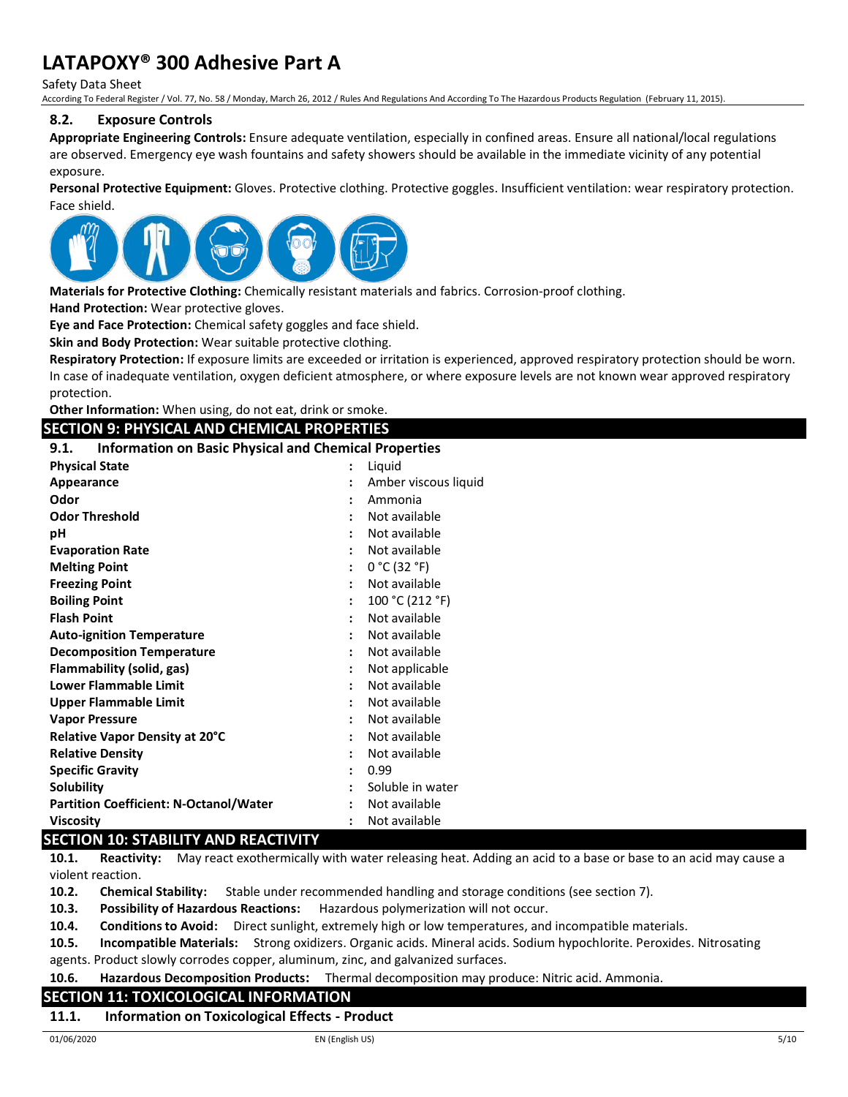Safety Data Sheet

According To Federal Register / Vol. 77, No. 58 / Monday, March 26, 2012 / Rules And Regulations And According To The Hazardous Products Regulation (February 11, 2015).

## **8.2. Exposure Controls**

**Appropriate Engineering Controls:** Ensure adequate ventilation, especially in confined areas. Ensure all national/local regulations are observed. Emergency eye wash fountains and safety showers should be available in the immediate vicinity of any potential exposure.

**Personal Protective Equipment:** Gloves. Protective clothing. Protective goggles. Insufficient ventilation: wear respiratory protection. Face shield.



**Materials for Protective Clothing:** Chemically resistant materials and fabrics. Corrosion-proof clothing.

**Hand Protection:** Wear protective gloves.

**Eye and Face Protection:** Chemical safety goggles and face shield.

**Skin and Body Protection:** Wear suitable protective clothing.

**Respiratory Protection:** If exposure limits are exceeded or irritation is experienced, approved respiratory protection should be worn. In case of inadequate ventilation, oxygen deficient atmosphere, or where exposure levels are not known wear approved respiratory protection.

**Other Information:** When using, do not eat, drink or smoke.

## **SECTION 9: PHYSICAL AND CHEMICAL PROPERTIES**

## **9.1. Information on Basic Physical and Chemical Properties**

| <b>Physical State</b>                         |   | Liquid               |
|-----------------------------------------------|---|----------------------|
| Appearance                                    |   | Amber viscous liquid |
| Odor                                          |   | Ammonia              |
| <b>Odor Threshold</b>                         |   | Not available        |
| рH                                            |   | Not available        |
| <b>Evaporation Rate</b>                       |   | Not available        |
| <b>Melting Point</b>                          |   | 0 °C (32 °F)         |
| <b>Freezing Point</b>                         |   | Not available        |
| <b>Boiling Point</b>                          |   | 100 °C (212 °F)      |
| <b>Flash Point</b>                            |   | Not available        |
| <b>Auto-ignition Temperature</b>              |   | Not available        |
| <b>Decomposition Temperature</b>              | ٠ | Not available        |
| Flammability (solid, gas)                     |   | Not applicable       |
| Lower Flammable Limit                         |   | Not available        |
| <b>Upper Flammable Limit</b>                  | ٠ | Not available        |
| <b>Vapor Pressure</b>                         |   | Not available        |
| <b>Relative Vapor Density at 20°C</b>         |   | Not available        |
| <b>Relative Density</b>                       |   | Not available        |
| <b>Specific Gravity</b>                       |   | 0.99                 |
| <b>Solubility</b>                             |   | Soluble in water     |
| <b>Partition Coefficient: N-Octanol/Water</b> |   | Not available        |
| <b>Viscosity</b>                              |   | Not available        |

## **SECTION 10: STABILITY AND REACTIVITY**

**10.1. Reactivity:** May react exothermically with water releasing heat. Adding an acid to a base or base to an acid may cause a violent reaction.

**10.2. Chemical Stability:** Stable under recommended handling and storage conditions (see section 7).

**10.3. Possibility of Hazardous Reactions:** Hazardous polymerization will not occur.

**10.4. Conditions to Avoid:** Direct sunlight, extremely high or low temperatures, and incompatible materials.

**10.5. Incompatible Materials:** Strong oxidizers. Organic acids. Mineral acids. Sodium hypochlorite. Peroxides. Nitrosating agents. Product slowly corrodes copper, aluminum, zinc, and galvanized surfaces.

**10.6. Hazardous Decomposition Products:** Thermal decomposition may produce: Nitric acid. Ammonia.

## **SECTION 11: TOXICOLOGICAL INFORMATION**

#### **11.1. Information on Toxicological Effects - Product**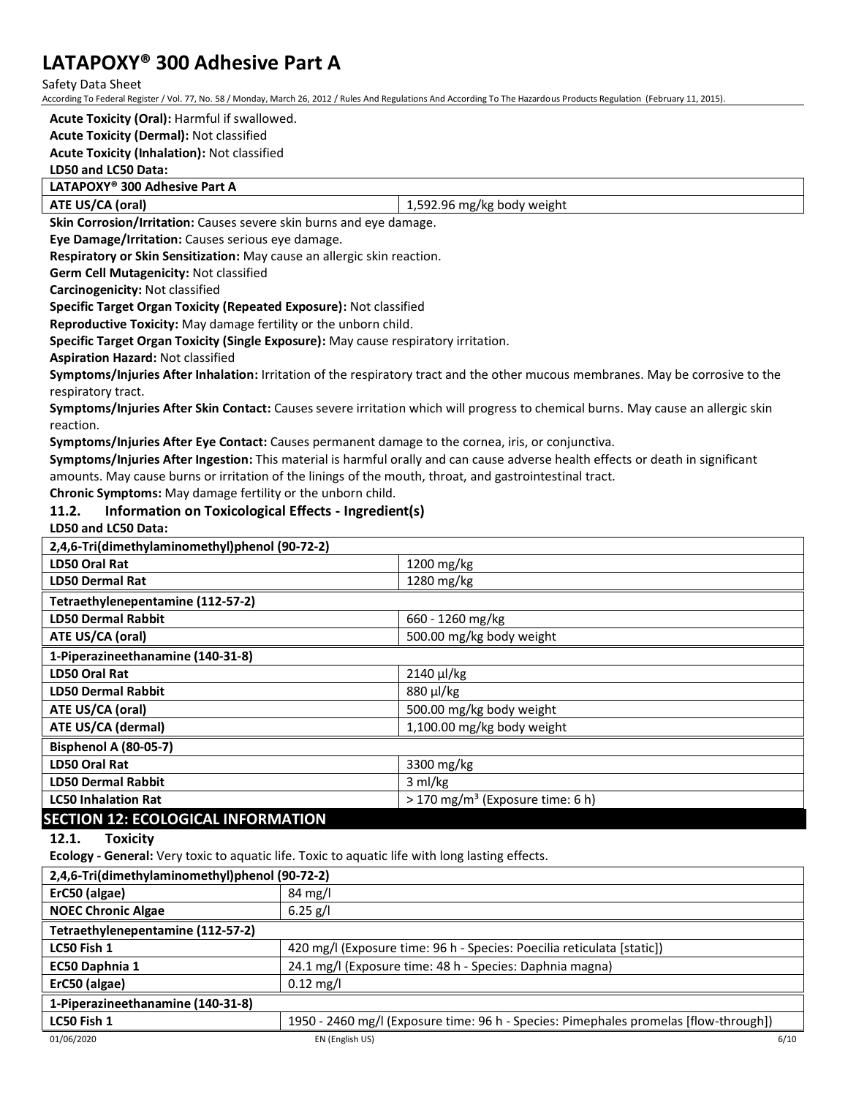Safety Data Sheet

According To Federal Register / Vol. 77, No. 58 / Monday, March 26, 2012 / Rules And Regulations And According To The Hazardous Products Regulation (February 11, 2015).

**Acute Toxicity (Oral):** Harmful if swallowed. **Acute Toxicity (Dermal):** Not classified

**Acute Toxicity (Inhalation):** Not classified

#### **LD50 and LC50 Data:**

**LATAPOXY® 300 Adhesive Part A** 

**ATE US/CA (oral)** 1,592.96 mg/kg body weight

**Skin Corrosion/Irritation:** Causes severe skin burns and eye damage.

**Eye Damage/Irritation:** Causes serious eye damage.

**Respiratory or Skin Sensitization:** May cause an allergic skin reaction.

**Germ Cell Mutagenicity:** Not classified

**Carcinogenicity:** Not classified

**Specific Target Organ Toxicity (Repeated Exposure):** Not classified

**Reproductive Toxicity:** May damage fertility or the unborn child.

**Specific Target Organ Toxicity (Single Exposure):** May cause respiratory irritation.

**Aspiration Hazard:** Not classified

**Symptoms/Injuries After Inhalation:** Irritation of the respiratory tract and the other mucous membranes. May be corrosive to the respiratory tract.

**Symptoms/Injuries After Skin Contact:** Causes severe irritation which will progress to chemical burns. May cause an allergic skin reaction.

**Symptoms/Injuries After Eye Contact:** Causes permanent damage to the cornea, iris, or conjunctiva.

**Symptoms/Injuries After Ingestion:** This material is harmful orally and can cause adverse health effects or death in significant amounts. May cause burns or irritation of the linings of the mouth, throat, and gastrointestinal tract.

**Chronic Symptoms:** May damage fertility or the unborn child.

## **11.2. Information on Toxicological Effects - Ingredient(s)**

**LD50 and LC50 Data:**

| 2,4,6-Tri(dimethylaminomethyl)phenol (90-72-2)                                                  |                                                                                      |                                              |  |
|-------------------------------------------------------------------------------------------------|--------------------------------------------------------------------------------------|----------------------------------------------|--|
| <b>LD50 Oral Rat</b>                                                                            |                                                                                      | 1200 mg/kg                                   |  |
| <b>LD50 Dermal Rat</b>                                                                          |                                                                                      | 1280 mg/kg                                   |  |
| Tetraethylenepentamine (112-57-2)                                                               |                                                                                      |                                              |  |
| <b>LD50 Dermal Rabbit</b>                                                                       |                                                                                      | 660 - 1260 mg/kg                             |  |
| ATE US/CA (oral)                                                                                |                                                                                      | 500.00 mg/kg body weight                     |  |
| 1-Piperazineethanamine (140-31-8)                                                               |                                                                                      |                                              |  |
| <b>LD50 Oral Rat</b>                                                                            |                                                                                      | 2140 µl/kg                                   |  |
| <b>LD50 Dermal Rabbit</b>                                                                       |                                                                                      | 880 µl/kg                                    |  |
| ATE US/CA (oral)                                                                                |                                                                                      | 500.00 mg/kg body weight                     |  |
| ATE US/CA (dermal)                                                                              |                                                                                      | 1,100.00 mg/kg body weight                   |  |
| Bisphenol A (80-05-7)                                                                           |                                                                                      |                                              |  |
| LD50 Oral Rat                                                                                   |                                                                                      | 3300 mg/kg                                   |  |
| <b>LD50 Dermal Rabbit</b>                                                                       |                                                                                      | 3 ml/kg                                      |  |
| <b>LC50 Inhalation Rat</b>                                                                      |                                                                                      | > 170 mg/m <sup>3</sup> (Exposure time: 6 h) |  |
| <b>SECTION 12: ECOLOGICAL INFORMATION</b>                                                       |                                                                                      |                                              |  |
| 12.1.<br><b>Toxicity</b>                                                                        |                                                                                      |                                              |  |
| Ecology - General: Very toxic to aquatic life. Toxic to aquatic life with long lasting effects. |                                                                                      |                                              |  |
| 2,4,6-Tri(dimethylaminomethyl)phenol (90-72-2)                                                  |                                                                                      |                                              |  |
| ErC50 (algae)                                                                                   | 84 mg/l                                                                              |                                              |  |
| <b>NOEC Chronic Algae</b>                                                                       | $6.25$ g/l                                                                           |                                              |  |
| Tetraethylenepentamine (112-57-2)                                                               |                                                                                      |                                              |  |
| LC50 Fish 1                                                                                     | 420 mg/l (Exposure time: 96 h - Species: Poecilia reticulata [static])               |                                              |  |
| EC50 Daphnia 1                                                                                  | 24.1 mg/l (Exposure time: 48 h - Species: Daphnia magna)                             |                                              |  |
| ErC50 (algae)                                                                                   | $0.12$ mg/l                                                                          |                                              |  |
| 1-Piperazineethanamine (140-31-8)                                                               |                                                                                      |                                              |  |
| LC50 Fish 1                                                                                     | 1950 - 2460 mg/l (Exposure time: 96 h - Species: Pimephales promelas [flow-through]) |                                              |  |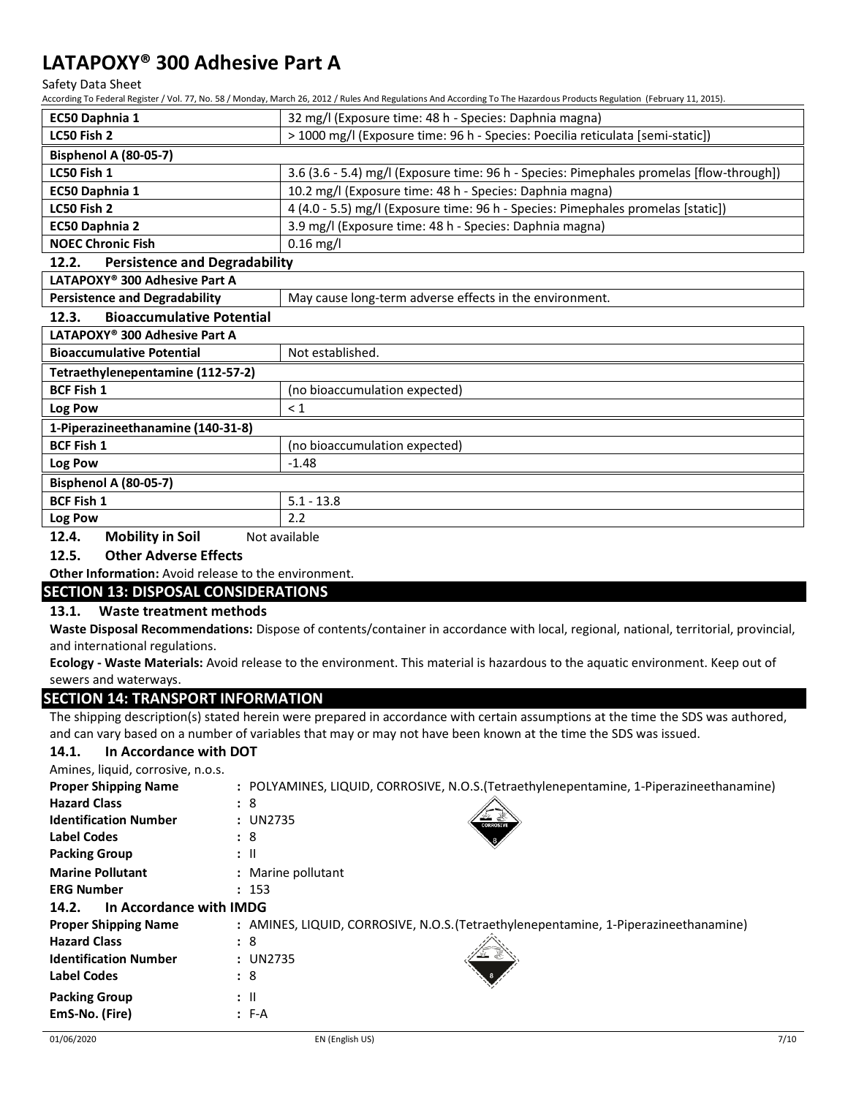Safety Data Sheet

According To Federal Register / Vol. 77, No. 58 / Monday, March 26, 2012 / Rules And Regulations And According To The Hazardous Products Regulation (February 11, 2015).

|                                                                                                 | con any roll cachar he soler pron by no sophonally, march zo, zo zzy hales had he shahahons had hecording to the hazardous incaded he salation (restrain providing the strain providing the strain providing the strain provid |  |  |
|-------------------------------------------------------------------------------------------------|--------------------------------------------------------------------------------------------------------------------------------------------------------------------------------------------------------------------------------|--|--|
| EC50 Daphnia 1<br>32 mg/l (Exposure time: 48 h - Species: Daphnia magna)                        |                                                                                                                                                                                                                                |  |  |
| > 1000 mg/l (Exposure time: 96 h - Species: Poecilia reticulata [semi-static])<br>LC50 Fish 2   |                                                                                                                                                                                                                                |  |  |
| Bisphenol A (80-05-7)                                                                           |                                                                                                                                                                                                                                |  |  |
| LC50 Fish 1                                                                                     | 3.6 (3.6 - 5.4) mg/l (Exposure time: 96 h - Species: Pimephales promelas [flow-through])                                                                                                                                       |  |  |
| EC50 Daphnia 1                                                                                  | 10.2 mg/l (Exposure time: 48 h - Species: Daphnia magna)                                                                                                                                                                       |  |  |
| LC50 Fish 2                                                                                     | 4 (4.0 - 5.5) mg/l (Exposure time: 96 h - Species: Pimephales promelas [static])                                                                                                                                               |  |  |
| EC50 Daphnia 2                                                                                  | 3.9 mg/l (Exposure time: 48 h - Species: Daphnia magna)                                                                                                                                                                        |  |  |
| <b>NOEC Chronic Fish</b>                                                                        | $0.16$ mg/l                                                                                                                                                                                                                    |  |  |
| <b>Persistence and Degradability</b><br>12.2.                                                   |                                                                                                                                                                                                                                |  |  |
| LATAPOXY <sup>®</sup> 300 Adhesive Part A                                                       |                                                                                                                                                                                                                                |  |  |
| <b>Persistence and Degradability</b><br>May cause long-term adverse effects in the environment. |                                                                                                                                                                                                                                |  |  |
| <b>Bioaccumulative Potential</b><br>12.3.                                                       |                                                                                                                                                                                                                                |  |  |
| LATAPOXY <sup>®</sup> 300 Adhesive Part A                                                       |                                                                                                                                                                                                                                |  |  |
| <b>Bioaccumulative Potential</b><br>Not established.                                            |                                                                                                                                                                                                                                |  |  |
| Tetraethylenepentamine (112-57-2)                                                               |                                                                                                                                                                                                                                |  |  |
| <b>BCF Fish 1</b><br>(no bioaccumulation expected)                                              |                                                                                                                                                                                                                                |  |  |
| Log Pow<br>$\leq 1$                                                                             |                                                                                                                                                                                                                                |  |  |
| 1-Piperazineethanamine (140-31-8)                                                               |                                                                                                                                                                                                                                |  |  |
| <b>BCF Fish 1</b><br>(no bioaccumulation expected)                                              |                                                                                                                                                                                                                                |  |  |
| Log Pow<br>$-1.48$                                                                              |                                                                                                                                                                                                                                |  |  |
| Bisphenol A (80-05-7)                                                                           |                                                                                                                                                                                                                                |  |  |
| $5.1 - 13.8$<br><b>BCF Fish 1</b>                                                               |                                                                                                                                                                                                                                |  |  |
| 2.2<br>Log Pow                                                                                  |                                                                                                                                                                                                                                |  |  |

**12.4.** Mobility in Soil Not available

## **12.5. Other Adverse Effects**

**Other Information:** Avoid release to the environment.

## **SECTION 13: DISPOSAL CONSIDERATIONS**

## **13.1. Waste treatment methods**

**Waste Disposal Recommendations:** Dispose of contents/container in accordance with local, regional, national, territorial, provincial, and international regulations.

**Ecology - Waste Materials:** Avoid release to the environment. This material is hazardous to the aquatic environment. Keep out of sewers and waterways.

## **SECTION 14: TRANSPORT INFORMATION**

The shipping description(s) stated herein were prepared in accordance with certain assumptions at the time the SDS was authored, and can vary based on a number of variables that may or may not have been known at the time the SDS was issued.

#### **14.1. In Accordance with DOT** Amines, liquid, corrosive

| Amines, liquid, corrosive, n.o.s. |                                                                                          |
|-----------------------------------|------------------------------------------------------------------------------------------|
| <b>Proper Shipping Name</b>       | : POLYAMINES, LIQUID, CORROSIVE, N.O.S. (Tetraethylenepentamine, 1-Piperazineethanamine) |
| <b>Hazard Class</b>               | : 8                                                                                      |
| <b>Identification Number</b>      | : UN2735<br><b>CORROSIVE</b>                                                             |
| <b>Label Codes</b>                | :8                                                                                       |
| <b>Packing Group</b>              | $:$ $\mathsf{II}$                                                                        |
| <b>Marine Pollutant</b>           | : Marine pollutant                                                                       |
| <b>ERG Number</b>                 | : 153                                                                                    |
| In Accordance with IMDG<br>14.2.  |                                                                                          |
| <b>Proper Shipping Name</b>       | : AMINES, LIQUID, CORROSIVE, N.O.S. (Tetraethylenepentamine, 1-Piperazineethanamine)     |
| <b>Hazard Class</b>               | :8                                                                                       |
| <b>Identification Number</b>      | : UN2735                                                                                 |
| <b>Label Codes</b>                | :8                                                                                       |
| <b>Packing Group</b>              | $\mathbf{H}$                                                                             |
| EmS-No. (Fire)                    | $: F-A$                                                                                  |
|                                   |                                                                                          |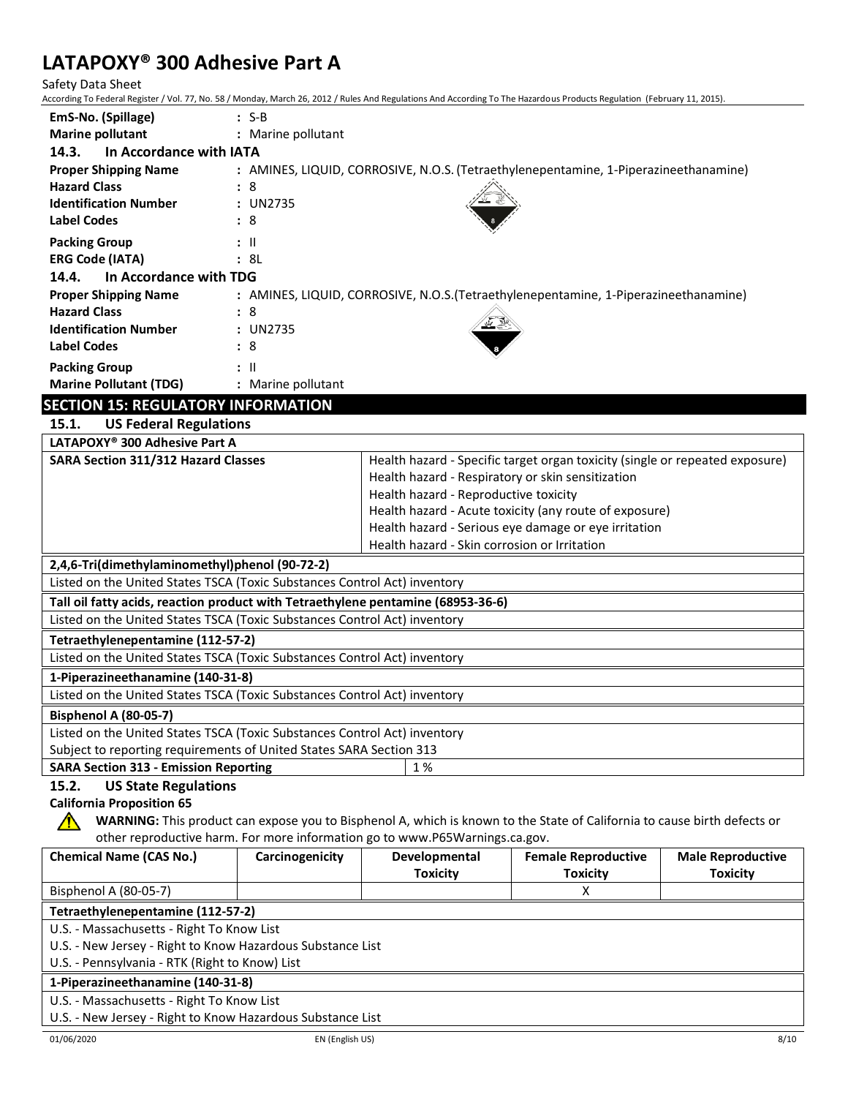Safety Data Sheet

According To Federal Register / Vol. 77, No. 58 / Monday, March 26, 2012 / Rules And Regulations And According To The Hazardous Products Regulation (February 11, 2015).

| EmS-No. (Spillage)                        | $: S-B$                                                                              |
|-------------------------------------------|--------------------------------------------------------------------------------------|
| <b>Marine pollutant</b>                   | : Marine pollutant                                                                   |
| In Accordance with IATA<br>14.3.          |                                                                                      |
| <b>Proper Shipping Name</b>               | : AMINES, LIQUID, CORROSIVE, N.O.S. (Tetraethylenepentamine, 1-Piperazineethanamine) |
| <b>Hazard Class</b>                       | : 8                                                                                  |
| <b>Identification Number</b>              | : UN2735                                                                             |
| <b>Label Codes</b>                        | : 8                                                                                  |
| <b>Packing Group</b>                      | $\mathbf{H}$                                                                         |
| <b>ERG Code (IATA)</b>                    | : 8L                                                                                 |
| In Accordance with TDG<br>14.4.           |                                                                                      |
| <b>Proper Shipping Name</b>               | : AMINES, LIQUID, CORROSIVE, N.O.S. (Tetraethylenepentamine, 1-Piperazineethanamine) |
| <b>Hazard Class</b>                       | : 8                                                                                  |
| <b>Identification Number</b>              | : UN2735                                                                             |
| <b>Label Codes</b>                        | : 8                                                                                  |
| <b>Packing Group</b>                      | $\pm$ 11                                                                             |
| <b>Marine Pollutant (TDG)</b>             | : Marine pollutant                                                                   |
| <b>SECTION 15: REGULATORY INFORMATION</b> |                                                                                      |

| 15.1. |  | <b>US Federal Regulations</b> |  |
|-------|--|-------------------------------|--|

| LATAPOXY <sup>®</sup> 300 Adhesive Part A                                        |                                                                              |  |  |  |
|----------------------------------------------------------------------------------|------------------------------------------------------------------------------|--|--|--|
| <b>SARA Section 311/312 Hazard Classes</b>                                       | Health hazard - Specific target organ toxicity (single or repeated exposure) |  |  |  |
|                                                                                  | Health hazard - Respiratory or skin sensitization                            |  |  |  |
|                                                                                  | Health hazard - Reproductive toxicity                                        |  |  |  |
|                                                                                  | Health hazard - Acute toxicity (any route of exposure)                       |  |  |  |
|                                                                                  | Health hazard - Serious eye damage or eye irritation                         |  |  |  |
|                                                                                  | Health hazard - Skin corrosion or Irritation                                 |  |  |  |
| 2,4,6-Tri(dimethylaminomethyl)phenol (90-72-2)                                   |                                                                              |  |  |  |
| Listed on the United States TSCA (Toxic Substances Control Act) inventory        |                                                                              |  |  |  |
| Tall oil fatty acids, reaction product with Tetraethylene pentamine (68953-36-6) |                                                                              |  |  |  |
| Listed on the United States TSCA (Toxic Substances Control Act) inventory        |                                                                              |  |  |  |
| Tetraethylenepentamine (112-57-2)                                                |                                                                              |  |  |  |
| Listed on the United States TSCA (Toxic Substances Control Act) inventory        |                                                                              |  |  |  |
| 1-Piperazineethanamine (140-31-8)                                                |                                                                              |  |  |  |
| Listed on the United States TSCA (Toxic Substances Control Act) inventory        |                                                                              |  |  |  |
| Bisphenol A (80-05-7)                                                            |                                                                              |  |  |  |
| Listed on the United States TSCA (Toxic Substances Control Act) inventory        |                                                                              |  |  |  |
| Subject to reporting requirements of United States SARA Section 313              |                                                                              |  |  |  |
| 1 %<br><b>SARA Section 313 - Emission Reporting</b>                              |                                                                              |  |  |  |

## **15.2. US State Regulations**

## **California Proposition 65**

**WARNING:** This product can expose you to Bisphenol A, which is known to the State of California to cause birth defects or other reproductive harm. For more information go to www.P65Warnings.ca.gov.

| <b>Chemical Name (CAS No.)</b>                             | Carcinogenicity | Developmental   | <b>Female Reproductive</b> | <b>Male Reproductive</b> |
|------------------------------------------------------------|-----------------|-----------------|----------------------------|--------------------------|
|                                                            |                 | <b>Toxicity</b> | <b>Toxicity</b>            | <b>Toxicity</b>          |
| Bisphenol A (80-05-7)                                      |                 |                 | x                          |                          |
| Tetraethylenepentamine (112-57-2)                          |                 |                 |                            |                          |
| U.S. - Massachusetts - Right To Know List                  |                 |                 |                            |                          |
| U.S. - New Jersey - Right to Know Hazardous Substance List |                 |                 |                            |                          |
| U.S. - Pennsylvania - RTK (Right to Know) List             |                 |                 |                            |                          |
| 1-Piperazineethanamine (140-31-8)                          |                 |                 |                            |                          |
| U.S. - Massachusetts - Right To Know List                  |                 |                 |                            |                          |
| U.S. - New Jersey - Right to Know Hazardous Substance List |                 |                 |                            |                          |

⚠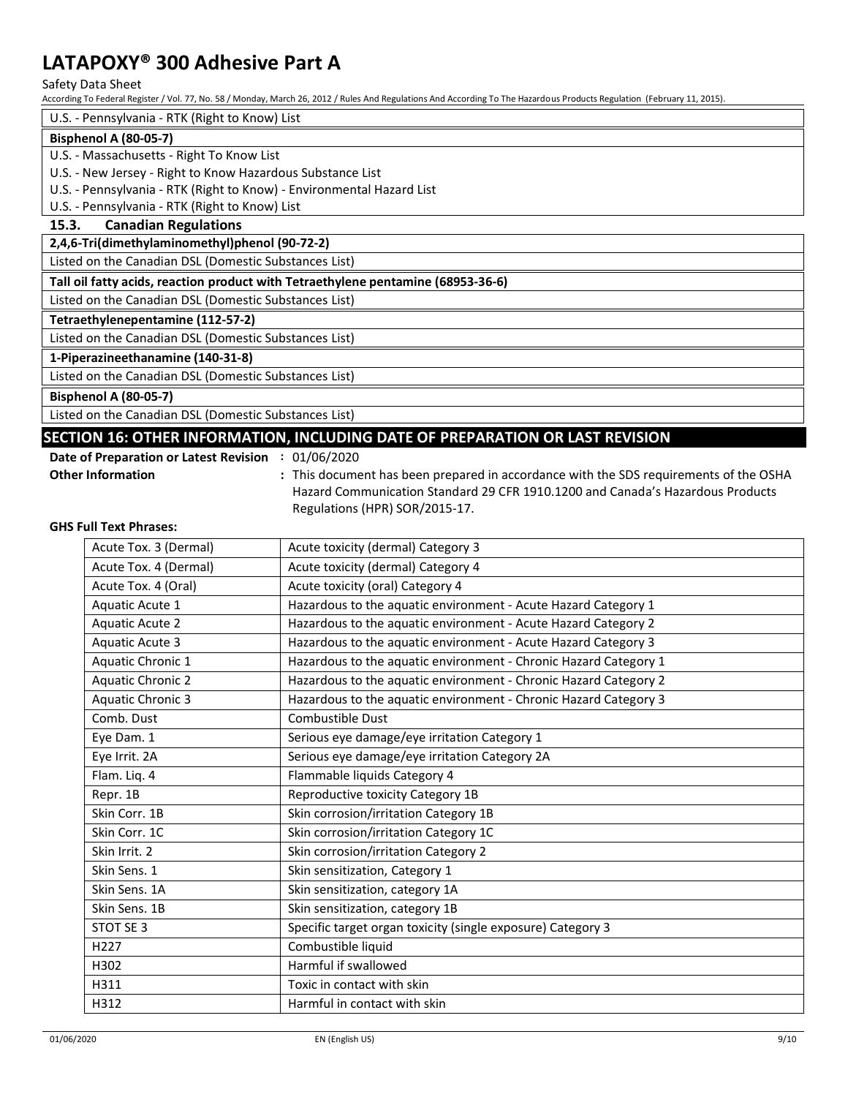Safety Data Sheet

According To Federal Register / Vol. 77, No. 58 / Monday, March 26, 2012 / Rules And Regulations And According To The Hazardous Products Regulation (February 11, 2015).

U.S. - Pennsylvania - RTK (Right to Know) List

## **Bisphenol A (80-05-7)**

U.S. - Massachusetts - Right To Know List

U.S. - New Jersey - Right to Know Hazardous Substance List

U.S. - Pennsylvania - RTK (Right to Know) - Environmental Hazard List

U.S. - Pennsylvania - RTK (Right to Know) List

## **15.3. Canadian Regulations**

**2,4,6-Tri(dimethylaminomethyl)phenol (90-72-2)**

Listed on the Canadian DSL (Domestic Substances List)

**Tall oil fatty acids, reaction product with Tetraethylene pentamine (68953-36-6)**

Listed on the Canadian DSL (Domestic Substances List)

## **Tetraethylenepentamine (112-57-2)**

Listed on the Canadian DSL (Domestic Substances List)

## **1-Piperazineethanamine (140-31-8)**

Listed on the Canadian DSL (Domestic Substances List)

**Bisphenol A (80-05-7)**

Listed on the Canadian DSL (Domestic Substances List)

## **SECTION 16: OTHER INFORMATION, INCLUDING DATE OF PREPARATION OR LAST REVISION**

**Date of Preparation or Latest Revision :** 01/06/2020

**Other Information :** This document has been prepared in accordance with the SDS requirements of the OSHA Hazard Communication Standard 29 CFR 1910.1200 and Canada's Hazardous Products Regulations (HPR) SOR/2015-17.

#### **GHS Full Text Phrases:**

| Acute Tox. 3 (Dermal)    | Acute toxicity (dermal) Category 3                               |  |
|--------------------------|------------------------------------------------------------------|--|
| Acute Tox. 4 (Dermal)    | Acute toxicity (dermal) Category 4                               |  |
| Acute Tox. 4 (Oral)      | Acute toxicity (oral) Category 4                                 |  |
| Aquatic Acute 1          | Hazardous to the aquatic environment - Acute Hazard Category 1   |  |
| <b>Aquatic Acute 2</b>   | Hazardous to the aquatic environment - Acute Hazard Category 2   |  |
| <b>Aquatic Acute 3</b>   | Hazardous to the aquatic environment - Acute Hazard Category 3   |  |
| Aquatic Chronic 1        | Hazardous to the aquatic environment - Chronic Hazard Category 1 |  |
| <b>Aquatic Chronic 2</b> | Hazardous to the aquatic environment - Chronic Hazard Category 2 |  |
| <b>Aquatic Chronic 3</b> | Hazardous to the aquatic environment - Chronic Hazard Category 3 |  |
| Comb. Dust               | Combustible Dust                                                 |  |
| Eye Dam. 1               | Serious eye damage/eye irritation Category 1                     |  |
| Eye Irrit. 2A            | Serious eye damage/eye irritation Category 2A                    |  |
| Flam. Liq. 4             | Flammable liquids Category 4                                     |  |
| Repr. 1B                 | Reproductive toxicity Category 1B                                |  |
| Skin Corr. 1B            | Skin corrosion/irritation Category 1B                            |  |
| Skin Corr. 1C            | Skin corrosion/irritation Category 1C                            |  |
| Skin Irrit. 2            | Skin corrosion/irritation Category 2                             |  |
| Skin Sens. 1             | Skin sensitization, Category 1                                   |  |
| Skin Sens. 1A            | Skin sensitization, category 1A                                  |  |
| Skin Sens. 1B            | Skin sensitization, category 1B                                  |  |
| STOT SE 3                | Specific target organ toxicity (single exposure) Category 3      |  |
| H <sub>227</sub>         | Combustible liquid                                               |  |
| H302                     | Harmful if swallowed                                             |  |
| H311                     | Toxic in contact with skin                                       |  |
| H312                     | Harmful in contact with skin                                     |  |